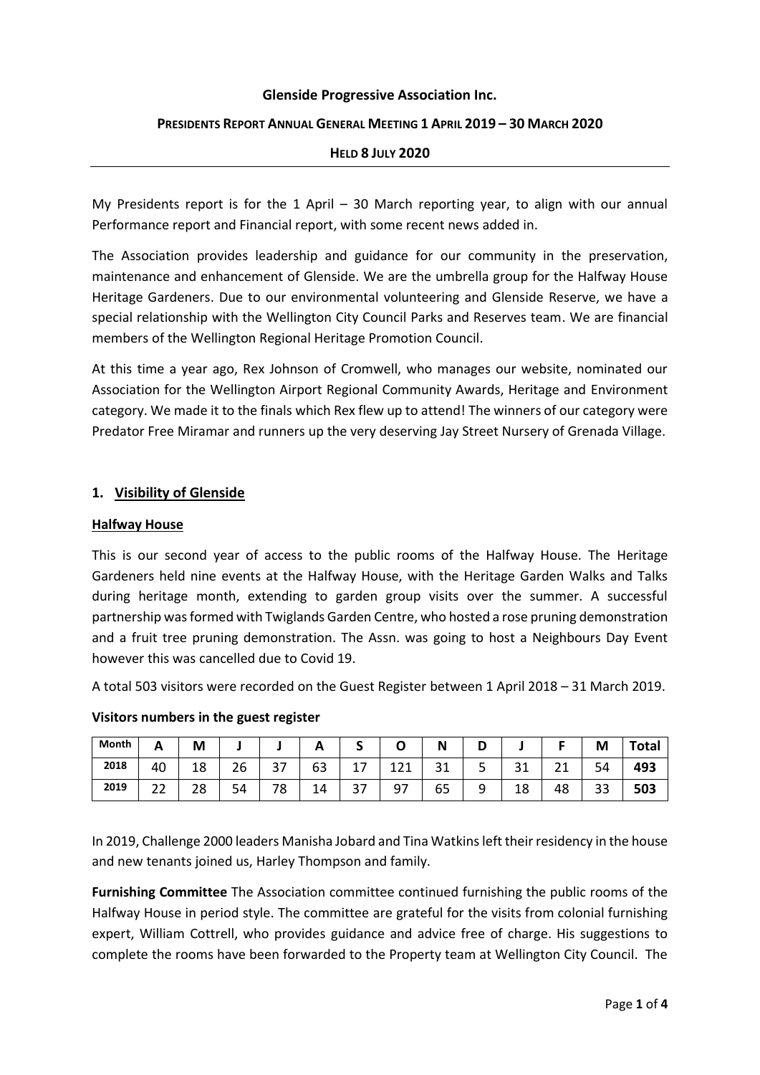#### **Glenside Progressive Association Inc.**

### **PRESIDENTS REPORT ANNUAL GENERAL MEETING 1 APRIL 2019 – 30 MARCH 2020**

### **HELD 8 JULY 2020**

My Presidents report is for the 1 April – 30 March reporting year, to align with our annual Performance report and Financial report, with some recent news added in.

The Association provides leadership and guidance for our community in the preservation, maintenance and enhancement of Glenside. We are the umbrella group for the Halfway House Heritage Gardeners. Due to our environmental volunteering and Glenside Reserve, we have a special relationship with the Wellington City Council Parks and Reserves team. We are financial members of the Wellington Regional Heritage Promotion Council.

At this time a year ago, Rex Johnson of Cromwell, who manages our website, nominated our Association for the Wellington Airport Regional Community Awards, Heritage and Environment category. We made it to the finals which Rex flew up to attend! The winners of our category were Predator Free Miramar and runners up the very deserving Jay Street Nursery of Grenada Village.

### **1. Visibility of Glenside**

#### **Halfway House**

This is our second year of access to the public rooms of the Halfway House. The Heritage Gardeners held nine events at the Halfway House, with the Heritage Garden Walks and Talks during heritage month, extending to garden group visits over the summer. A successful partnership was formed with Twiglands Garden Centre, who hosted a rose pruning demonstration and a fruit tree pruning demonstration. The Assn. was going to host a Neighbours Day Event however this was cancelled due to Covid 19.

A total 503 visitors were recorded on the Guest Register between 1 April 2018 – 31 March 2019.

| Month | Λ<br><u>гч</u> | M        |              |           | ~  |     |     |    | D      |         |              | M  | <b>Total</b> |
|-------|----------------|----------|--------------|-----------|----|-----|-----|----|--------|---------|--------------|----|--------------|
| 2018  | 40             | 18       | $\sim$<br>۷b | າ –<br>31 | 63 | . . | 121 | 31 | ٮ      | ີ<br>ᇰᆂ | $\sim$<br>ᄼᅩ | 54 | 493          |
| 2019  | າາ<br>∠∠       | າດ<br>ە∠ | 54           | 78        | 14 | 37  | 97  | 65 | a<br>ے | 18      | 48           | 33 | 503          |

#### **Visitors numbers in the guest register**

In 2019, Challenge 2000 leaders Manisha Jobard and Tina Watkins left their residency in the house and new tenants joined us, Harley Thompson and family.

**Furnishing Committee** The Association committee continued furnishing the public rooms of the Halfway House in period style. The committee are grateful for the visits from colonial furnishing expert, William Cottrell, who provides guidance and advice free of charge. His suggestions to complete the rooms have been forwarded to the Property team at Wellington City Council. The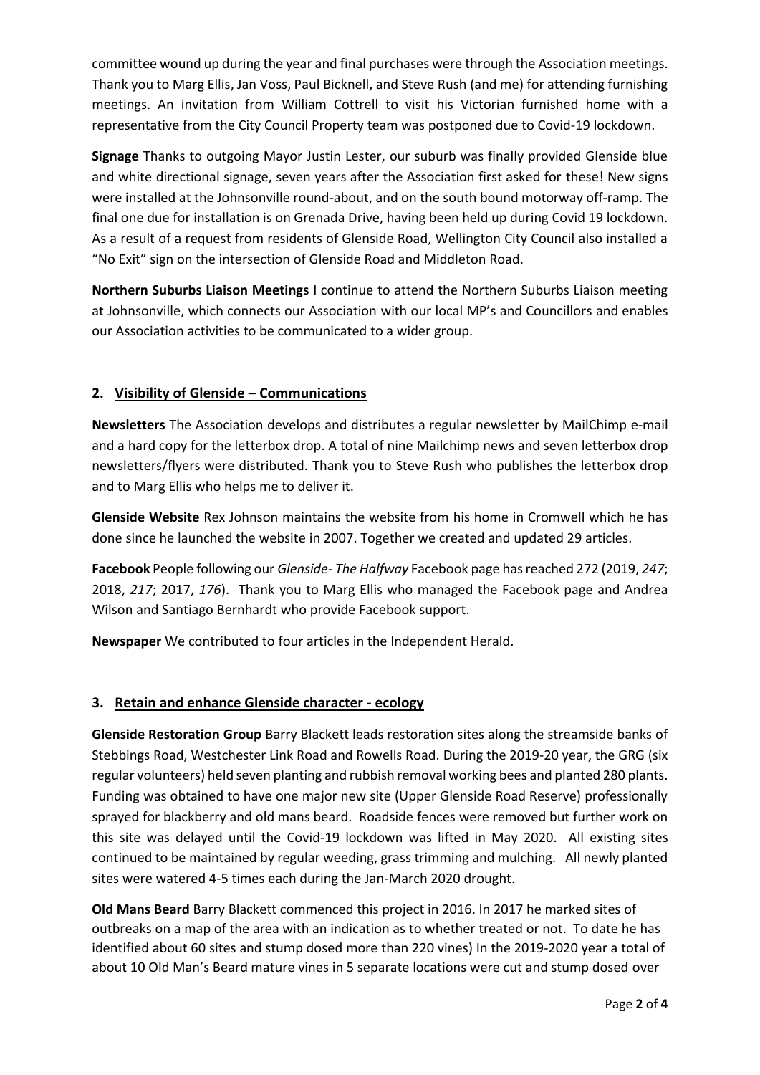committee wound up during the year and final purchases were through the Association meetings. Thank you to Marg Ellis, Jan Voss, Paul Bicknell, and Steve Rush (and me) for attending furnishing meetings. An invitation from William Cottrell to visit his Victorian furnished home with a representative from the City Council Property team was postponed due to Covid-19 lockdown.

**Signage** Thanks to outgoing Mayor Justin Lester, our suburb was finally provided Glenside blue and white directional signage, seven years after the Association first asked for these! New signs were installed at the Johnsonville round-about, and on the south bound motorway off-ramp. The final one due for installation is on Grenada Drive, having been held up during Covid 19 lockdown. As a result of a request from residents of Glenside Road, Wellington City Council also installed a "No Exit" sign on the intersection of Glenside Road and Middleton Road.

**Northern Suburbs Liaison Meetings** I continue to attend the Northern Suburbs Liaison meeting at Johnsonville, which connects our Association with our local MP's and Councillors and enables our Association activities to be communicated to a wider group.

# **2. Visibility of Glenside – Communications**

**Newsletters** The Association develops and distributes a regular newsletter by MailChimp e-mail and a hard copy for the letterbox drop. A total of nine Mailchimp news and seven letterbox drop newsletters/flyers were distributed. Thank you to Steve Rush who publishes the letterbox drop and to Marg Ellis who helps me to deliver it.

**Glenside Website** Rex Johnson maintains the website from his home in Cromwell which he has done since he launched the website in 2007. Together we created and updated 29 articles.

**Facebook** People following our *Glenside- The Halfway* Facebook page has reached 272 (2019, *247*; 2018, *217*; 2017, *176*). Thank you to Marg Ellis who managed the Facebook page and Andrea Wilson and Santiago Bernhardt who provide Facebook support.

**Newspaper** We contributed to four articles in the Independent Herald.

# **3. Retain and enhance Glenside character - ecology**

**Glenside Restoration Group** Barry Blackett leads restoration sites along the streamside banks of Stebbings Road, Westchester Link Road and Rowells Road. During the 2019-20 year, the GRG (six regular volunteers) held seven planting and rubbish removal working bees and planted 280 plants. Funding was obtained to have one major new site (Upper Glenside Road Reserve) professionally sprayed for blackberry and old mans beard. Roadside fences were removed but further work on this site was delayed until the Covid-19 lockdown was lifted in May 2020. All existing sites continued to be maintained by regular weeding, grass trimming and mulching. All newly planted sites were watered 4-5 times each during the Jan-March 2020 drought.

**Old Mans Beard** Barry Blackett commenced this project in 2016. In 2017 he marked sites of outbreaks on a map of the area with an indication as to whether treated or not. To date he has identified about 60 sites and stump dosed more than 220 vines) In the 2019-2020 year a total of about 10 Old Man's Beard mature vines in 5 separate locations were cut and stump dosed over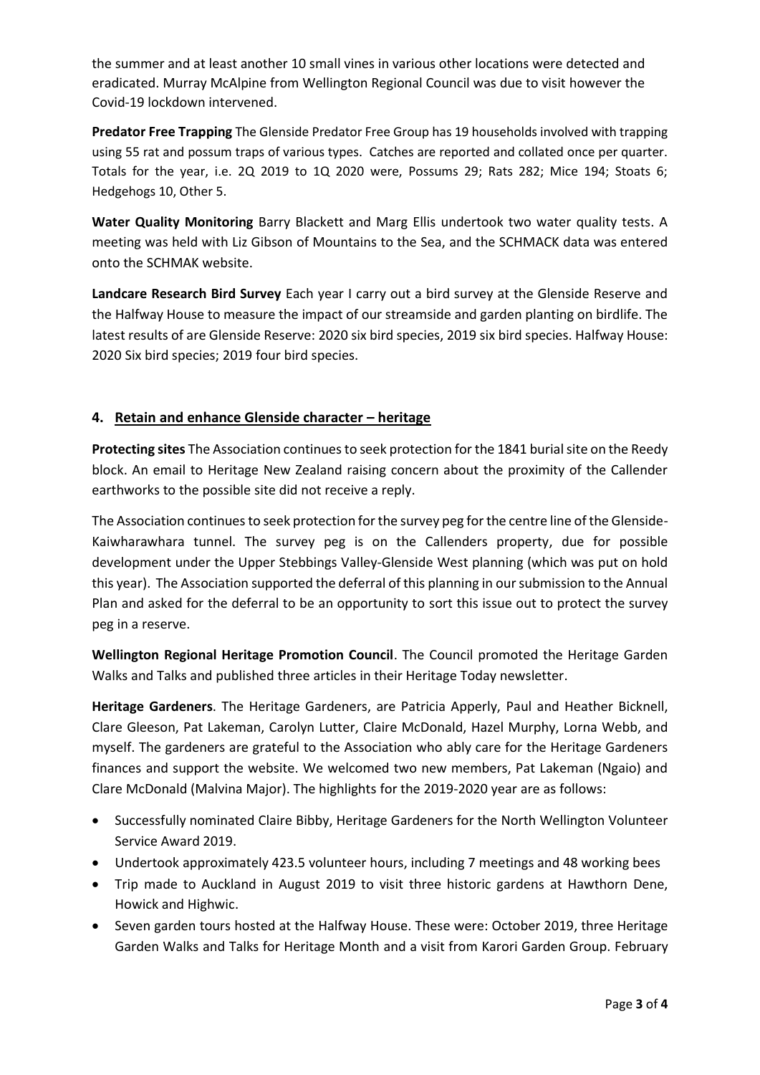the summer and at least another 10 small vines in various other locations were detected and eradicated. Murray McAlpine from Wellington Regional Council was due to visit however the Covid-19 lockdown intervened.

**Predator Free Trapping** The Glenside Predator Free Group has 19 households involved with trapping using 55 rat and possum traps of various types. Catches are reported and collated once per quarter. Totals for the year, i.e. 2Q 2019 to 1Q 2020 were, Possums 29; Rats 282; Mice 194; Stoats 6; Hedgehogs 10, Other 5.

**Water Quality Monitoring** Barry Blackett and Marg Ellis undertook two water quality tests. A meeting was held with Liz Gibson of Mountains to the Sea, and the SCHMACK data was entered onto the SCHMAK website.

**Landcare Research Bird Survey** Each year I carry out a bird survey at the Glenside Reserve and the Halfway House to measure the impact of our streamside and garden planting on birdlife. The latest results of are Glenside Reserve: 2020 six bird species, 2019 six bird species. Halfway House: 2020 Six bird species; 2019 four bird species.

# **4. Retain and enhance Glenside character – heritage**

**Protecting sites** The Association continues to seek protection for the 1841 burial site on the Reedy block. An email to Heritage New Zealand raising concern about the proximity of the Callender earthworks to the possible site did not receive a reply.

The Association continues to seek protection for the survey peg for the centre line of the Glenside-Kaiwharawhara tunnel. The survey peg is on the Callenders property, due for possible development under the Upper Stebbings Valley-Glenside West planning (which was put on hold this year). The Association supported the deferral of this planning in our submission to the Annual Plan and asked for the deferral to be an opportunity to sort this issue out to protect the survey peg in a reserve.

**Wellington Regional Heritage Promotion Council**. The Council promoted the Heritage Garden Walks and Talks and published three articles in their Heritage Today newsletter.

**Heritage Gardeners**. The Heritage Gardeners, are Patricia Apperly, Paul and Heather Bicknell, Clare Gleeson, Pat Lakeman, Carolyn Lutter, Claire McDonald, Hazel Murphy, Lorna Webb, and myself. The gardeners are grateful to the Association who ably care for the Heritage Gardeners finances and support the website. We welcomed two new members, Pat Lakeman (Ngaio) and Clare McDonald (Malvina Major). The highlights for the 2019-2020 year are as follows:

- Successfully nominated Claire Bibby, Heritage Gardeners for the North Wellington Volunteer Service Award 2019.
- Undertook approximately 423.5 volunteer hours, including 7 meetings and 48 working bees
- Trip made to Auckland in August 2019 to visit three historic gardens at Hawthorn Dene, Howick and Highwic.
- Seven garden tours hosted at the Halfway House. These were: October 2019, three Heritage Garden Walks and Talks for Heritage Month and a visit from Karori Garden Group. February